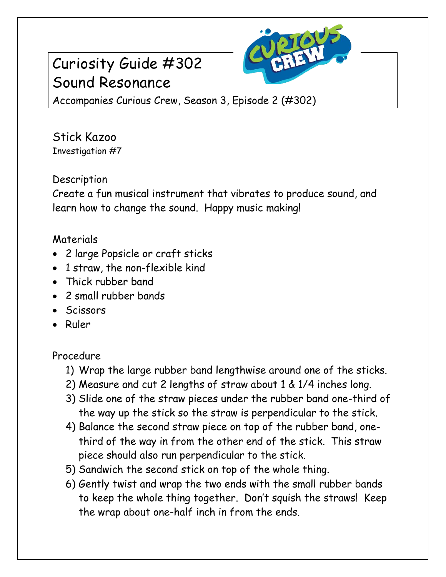# Curiosity Guide #302 Sound Resonance



Accompanies Curious Crew, Season 3, Episode 2 (#302)

Stick Kazoo Investigation #7

## **Description**

Create a fun musical instrument that vibrates to produce sound, and learn how to change the sound. Happy music making!

### Materials

- 2 large Popsicle or craft sticks
- 1 straw, the non-flexible kind
- Thick rubber band
- 2 small rubber bands
- Scissors
- Ruler

#### Procedure

- 1) Wrap the large rubber band lengthwise around one of the sticks.
- 2) Measure and cut 2 lengths of straw about 1 & 1/4 inches long.
- 3) Slide one of the straw pieces under the rubber band one-third of the way up the stick so the straw is perpendicular to the stick.
- 4) Balance the second straw piece on top of the rubber band, onethird of the way in from the other end of the stick. This straw piece should also run perpendicular to the stick.
- 5) Sandwich the second stick on top of the whole thing.
- 6) Gently twist and wrap the two ends with the small rubber bands to keep the whole thing together. Don't squish the straws! Keep the wrap about one-half inch in from the ends.